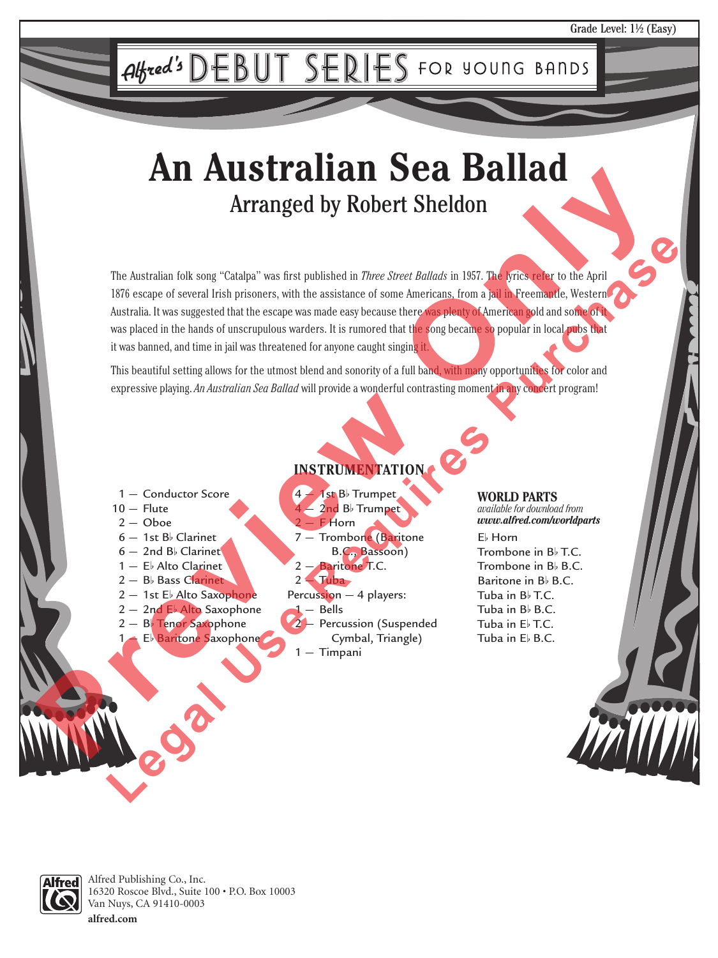Grade Level: 1½ (Easy)

#### T SERIES FOR YOUNG BANDS Alfred's BU

# **An Australian Sea Ballad** Arranged by Robert Sheldon

The Australian folk song "Catalpa" was first published in *Three Street Ballads* in 1957. The lyrics refer to the April 1876 escape of several Irish prisoners, with the assistance of some Americans, from a jail in Freemantle, Western Australia. It was suggested that the escape was made easy because there was plenty of American gold and some of it was placed in the hands of unscrupulous warders. It is rumored that the song became so popular in local pubs that it was banned, and time in jail was threatened for anyone caught singing it. **Preview of the state of the state of the state of the state of the state of the state of the state of the state of the state of the state of the state of the state of the state of the state of the state of the state of th** The Maximizar College Theorem and the same of the same of the same of the same of the same of the same of the same of the same of the same of the same of the same of the same of the same of the same of the same of the same

This beautiful setting allows for the utmost blend and sonority of a full band, with many opportunities for color and expressive playing. *An Australian Sea Ballad* will provide a wonderful contrasting moment in any concert program!

- 1 Conductor Score
- $10 -$  Flute
- 2 Oboe
- $6 1$ st B<sub>b</sub> Clarinet
- $6 2$ nd B<sub>b</sub> Clarinet
- $1 E$  Alto Clarinet
- 2 B<sub>b</sub> Bass Clarinet
- 2 1st E<sub>b</sub> Alto Saxophone
- − 2nd Eb Alto Saxophone
- Bb Tenor Saxophone E**b Baritone Saxophone**

## **INSTRUMENTATION**

 4 — 1st Bb Trumpet  $-$  2nd Bb Trumpet **E** Horn Trombone (Baritone B.C., Bassoon) 2 – Baritone T.C. 2 — Tuba

Percussion — 4 players: - Bells - Percussion (Suspended Cymbal, Triangle) 1 — Timpani

### **WORLD PARTS**

*available for download from www.alfred.com/worldparts*

Eb Horn Trombone in B<sub>b</sub> T.C. Trombone in  $B$ <sub>b</sub> B.C. Baritone in B<sub>b</sub> B.C. Tuba in  $B$ <sub>b</sub> T.C. Tuba in  $B$ <sub>b</sub> B.C. Tuba in Eb T.C. Tuba in Eb B.C.



Alfred Publishing Co., Inc. 16320 Roscoe Blvd., Suite 100 • P.O. Box 10003 Van Nuys, CA 91410-0003 **alfred.com**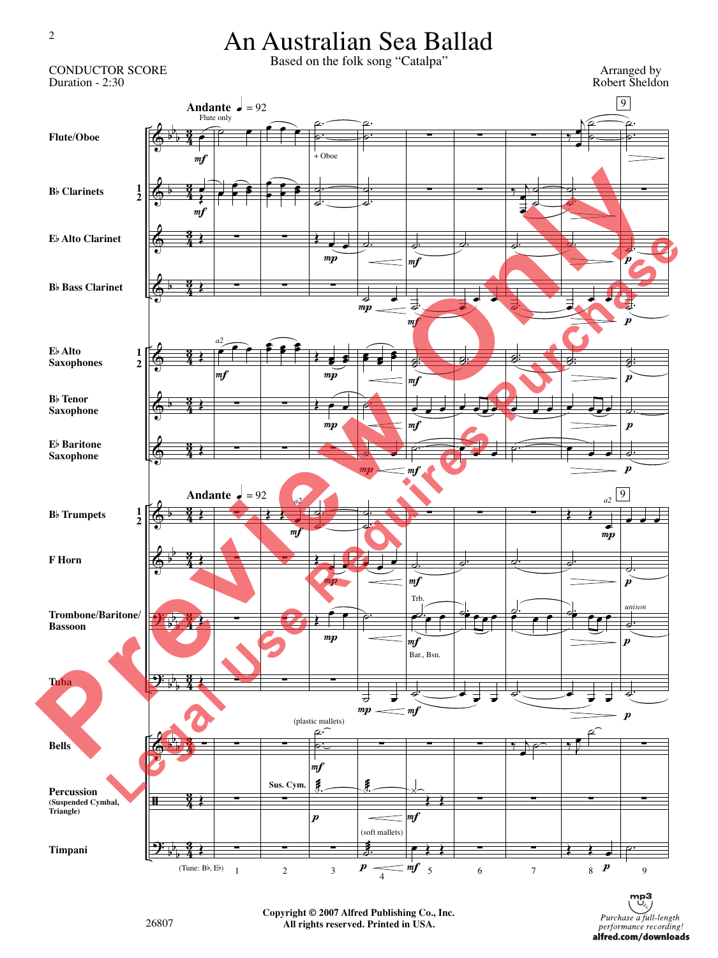# An Australian Sea Ballad

Based on the folk song "Catalpa"

#### CONDUCTOR SCORE Duration - 2:30





 $\begin{pmatrix} 2 \\ 1 \\ 1 \end{pmatrix}$ Purchase a full-length<br>performance recording!<br>**alfred.com/downloads**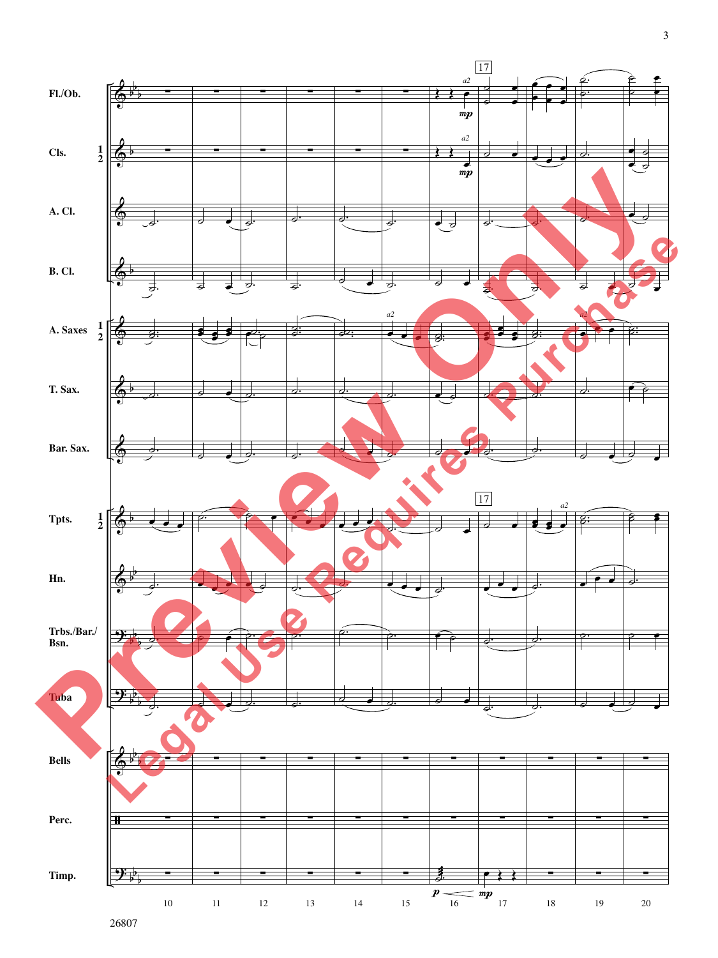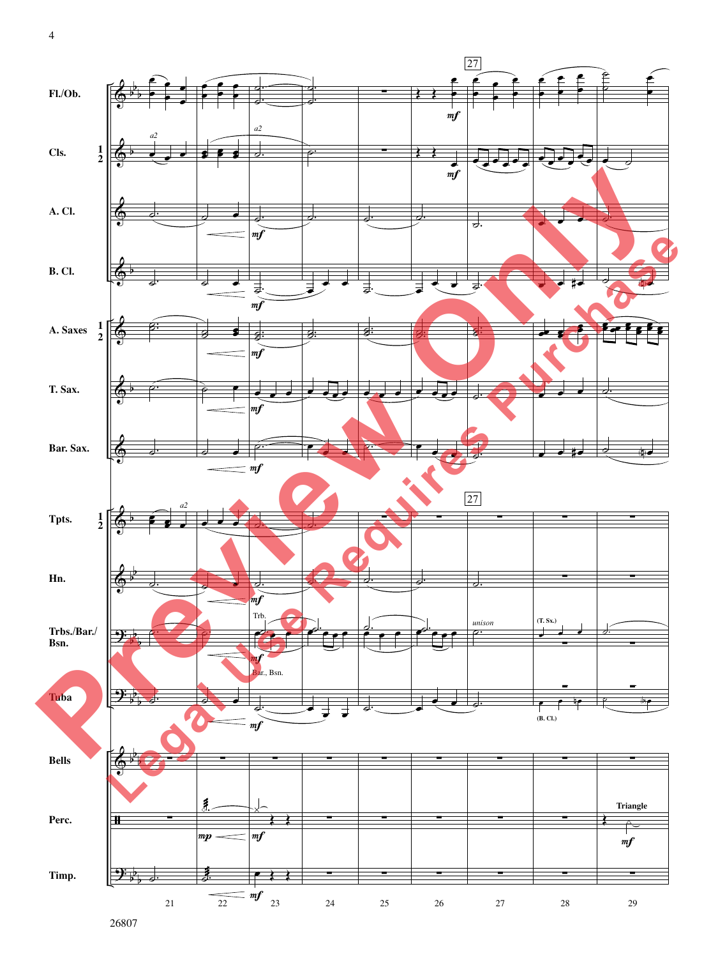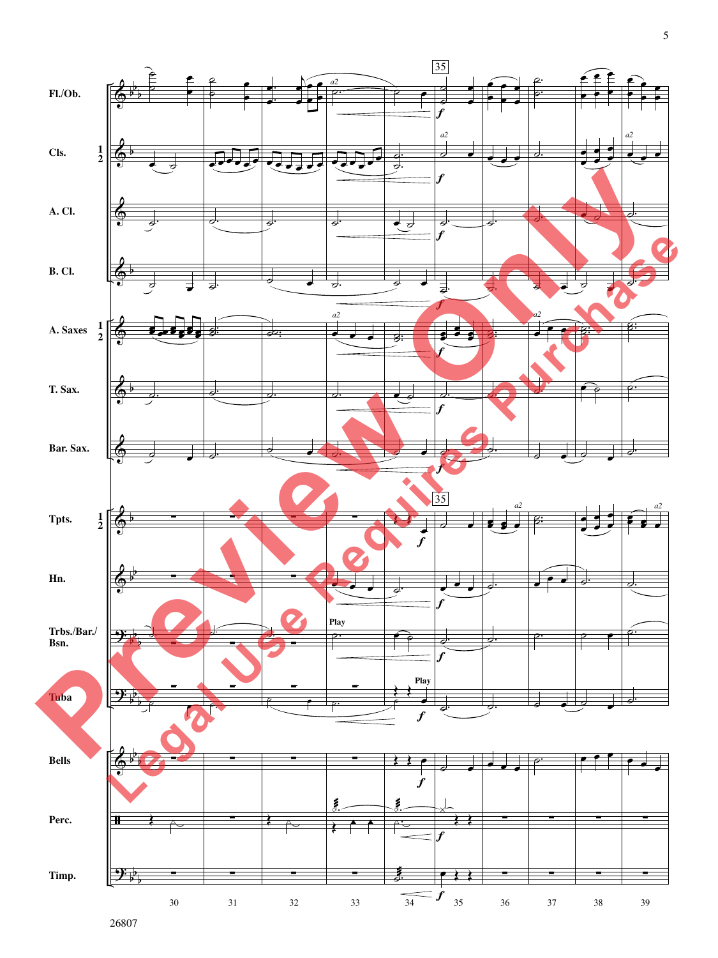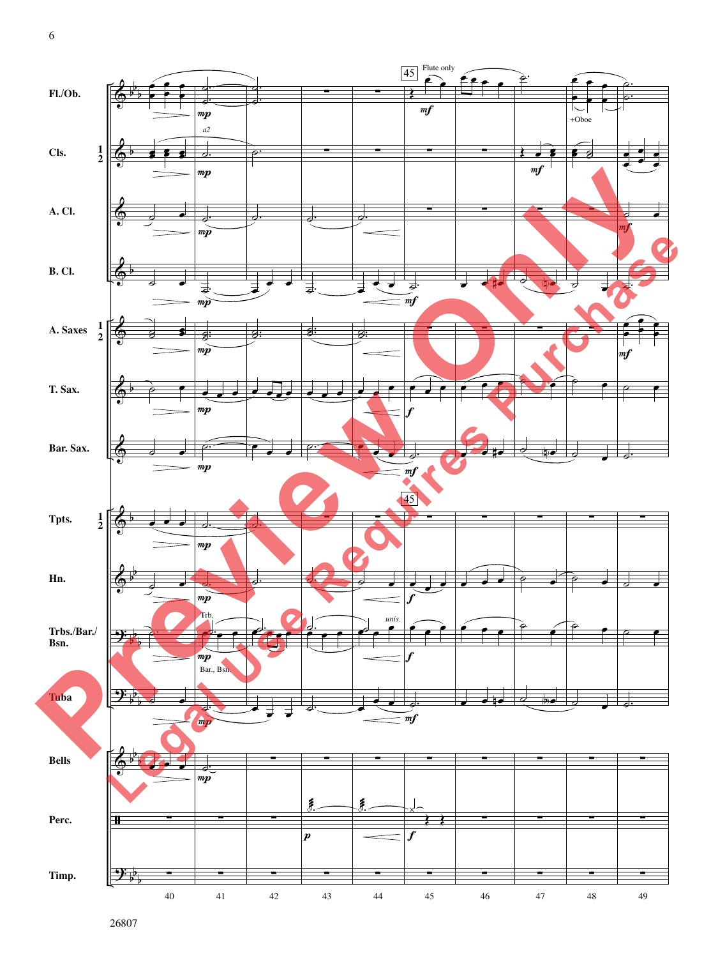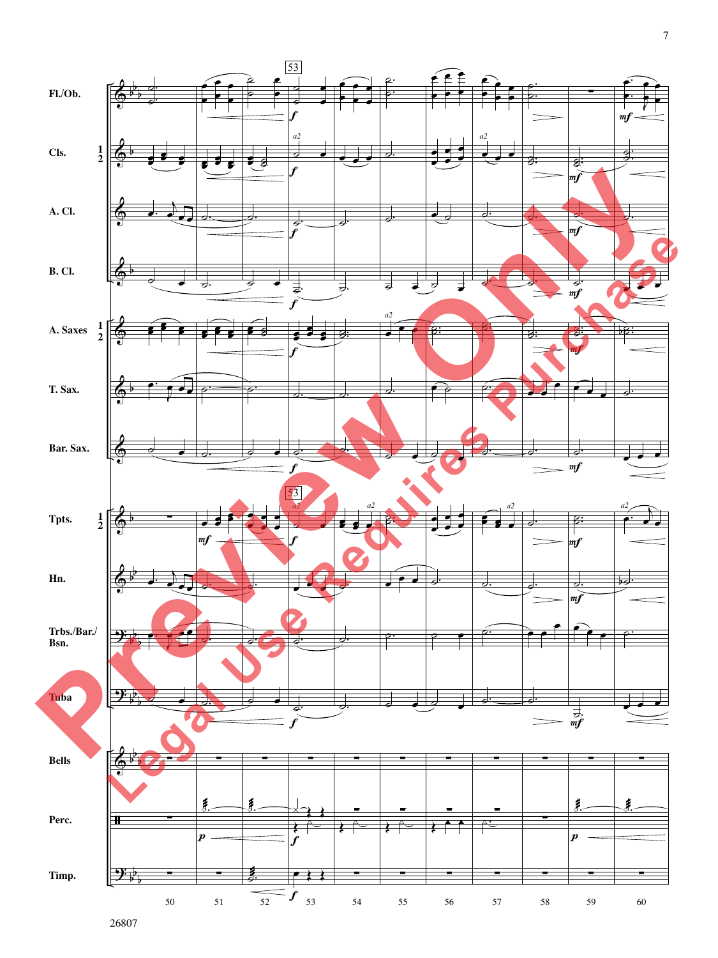